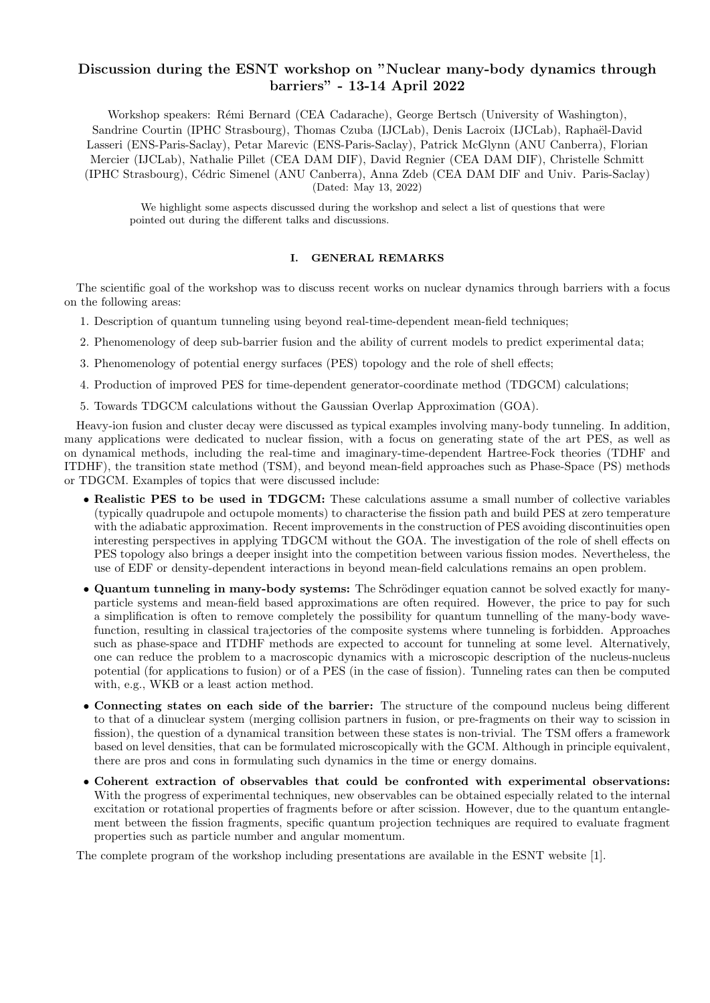# Discussion during the ESNT workshop on "Nuclear many-body dynamics through barriers" - 13-14 April 2022

Workshop speakers: Rémi Bernard (CEA Cadarache), George Bertsch (University of Washington), Sandrine Courtin (IPHC Strasbourg), Thomas Czuba (IJCLab), Denis Lacroix (IJCLab), Raphaël-David Lasseri (ENS-Paris-Saclay), Petar Marevic (ENS-Paris-Saclay), Patrick McGlynn (ANU Canberra), Florian Mercier (IJCLab), Nathalie Pillet (CEA DAM DIF), David Regnier (CEA DAM DIF), Christelle Schmitt (IPHC Strasbourg), C´edric Simenel (ANU Canberra), Anna Zdeb (CEA DAM DIF and Univ. Paris-Saclay) (Dated: May 13, 2022)

We highlight some aspects discussed during the workshop and select a list of questions that were pointed out during the different talks and discussions.

# I. GENERAL REMARKS

The scientific goal of the workshop was to discuss recent works on nuclear dynamics through barriers with a focus on the following areas:

- 1. Description of quantum tunneling using beyond real-time-dependent mean-field techniques;
- 2. Phenomenology of deep sub-barrier fusion and the ability of current models to predict experimental data;
- 3. Phenomenology of potential energy surfaces (PES) topology and the role of shell effects;
- 4. Production of improved PES for time-dependent generator-coordinate method (TDGCM) calculations;
- 5. Towards TDGCM calculations without the Gaussian Overlap Approximation (GOA).

Heavy-ion fusion and cluster decay were discussed as typical examples involving many-body tunneling. In addition, many applications were dedicated to nuclear fission, with a focus on generating state of the art PES, as well as on dynamical methods, including the real-time and imaginary-time-dependent Hartree-Fock theories (TDHF and ITDHF), the transition state method (TSM), and beyond mean-field approaches such as Phase-Space (PS) methods or TDGCM. Examples of topics that were discussed include:

- Realistic PES to be used in TDGCM: These calculations assume a small number of collective variables (typically quadrupole and octupole moments) to characterise the fission path and build PES at zero temperature with the adiabatic approximation. Recent improvements in the construction of PES avoiding discontinuities open interesting perspectives in applying TDGCM without the GOA. The investigation of the role of shell effects on PES topology also brings a deeper insight into the competition between various fission modes. Nevertheless, the use of EDF or density-dependent interactions in beyond mean-field calculations remains an open problem.
- Quantum tunneling in many-body systems: The Schrödinger equation cannot be solved exactly for manyparticle systems and mean-field based approximations are often required. However, the price to pay for such a simplification is often to remove completely the possibility for quantum tunnelling of the many-body wavefunction, resulting in classical trajectories of the composite systems where tunneling is forbidden. Approaches such as phase-space and ITDHF methods are expected to account for tunneling at some level. Alternatively, one can reduce the problem to a macroscopic dynamics with a microscopic description of the nucleus-nucleus potential (for applications to fusion) or of a PES (in the case of fission). Tunneling rates can then be computed with, e.g., WKB or a least action method.
- Connecting states on each side of the barrier: The structure of the compound nucleus being different to that of a dinuclear system (merging collision partners in fusion, or pre-fragments on their way to scission in fission), the question of a dynamical transition between these states is non-trivial. The TSM offers a framework based on level densities, that can be formulated microscopically with the GCM. Although in principle equivalent, there are pros and cons in formulating such dynamics in the time or energy domains.
- Coherent extraction of observables that could be confronted with experimental observations: With the progress of experimental techniques, new observables can be obtained especially related to the internal excitation or rotational properties of fragments before or after scission. However, due to the quantum entanglement between the fission fragments, specific quantum projection techniques are required to evaluate fragment properties such as particle number and angular momentum.

The complete program of the workshop including presentations are available in the ESNT website [1].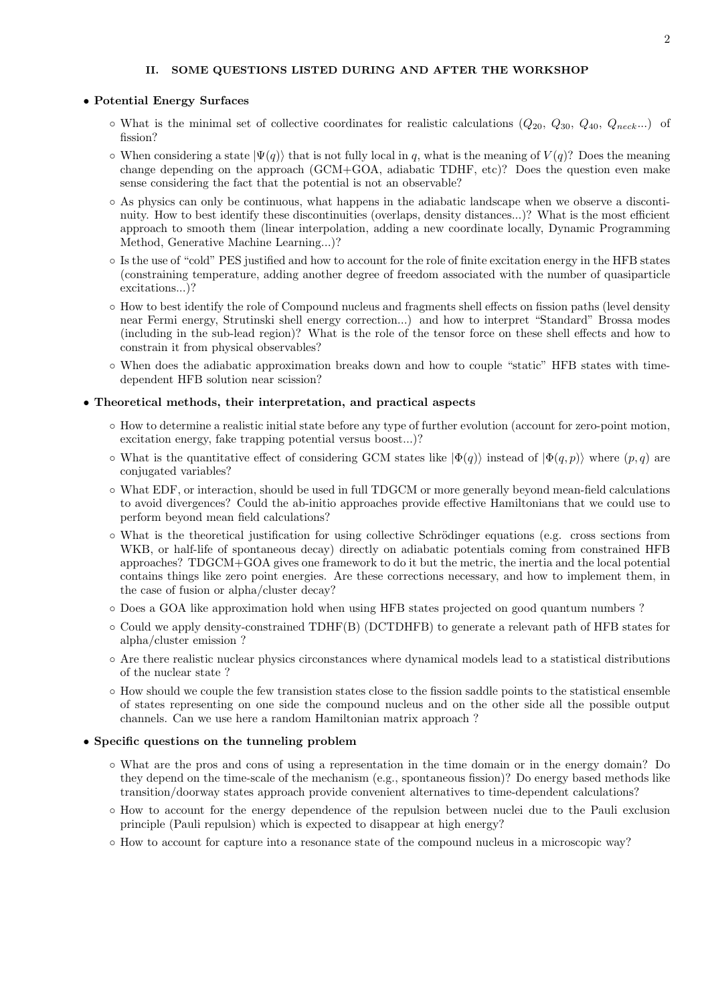# II. SOME QUESTIONS LISTED DURING AND AFTER THE WORKSHOP

#### • Potential Energy Surfaces

- $\circ$  What is the minimal set of collective coordinates for realistic calculations  $(Q_{20}, Q_{30}, Q_{40}, Q_{neck} \ldots)$  of fission?
- $\circ$  When considering a state  $|\Psi(q)\rangle$  that is not fully local in q, what is the meaning of  $V(q)$ ? Does the meaning change depending on the approach (GCM+GOA, adiabatic TDHF, etc)? Does the question even make sense considering the fact that the potential is not an observable?
- As physics can only be continuous, what happens in the adiabatic landscape when we observe a discontinuity. How to best identify these discontinuities (overlaps, density distances...)? What is the most efficient approach to smooth them (linear interpolation, adding a new coordinate locally, Dynamic Programming Method, Generative Machine Learning...)?
- Is the use of "cold" PES justified and how to account for the role of finite excitation energy in the HFB states (constraining temperature, adding another degree of freedom associated with the number of quasiparticle excitations...)?
- How to best identify the role of Compound nucleus and fragments shell effects on fission paths (level density near Fermi energy, Strutinski shell energy correction...) and how to interpret "Standard" Brossa modes (including in the sub-lead region)? What is the role of the tensor force on these shell effects and how to constrain it from physical observables?
- When does the adiabatic approximation breaks down and how to couple "static" HFB states with timedependent HFB solution near scission?

#### • Theoretical methods, their interpretation, and practical aspects

- How to determine a realistic initial state before any type of further evolution (account for zero-point motion, excitation energy, fake trapping potential versus boost...)?
- $\circ$  What is the quantitative effect of considering GCM states like  $|\Phi(q)\rangle$  instead of  $|\Phi(q, p)\rangle$  where  $(p, q)$  are conjugated variables?
- What EDF, or interaction, should be used in full TDGCM or more generally beyond mean-field calculations to avoid divergences? Could the ab-initio approaches provide effective Hamiltonians that we could use to perform beyond mean field calculations?
- What is the theoretical justification for using collective Schrödinger equations (e.g. cross sections from WKB, or half-life of spontaneous decay) directly on adiabatic potentials coming from constrained HFB approaches? TDGCM+GOA gives one framework to do it but the metric, the inertia and the local potential contains things like zero point energies. Are these corrections necessary, and how to implement them, in the case of fusion or alpha/cluster decay?
- Does a GOA like approximation hold when using HFB states projected on good quantum numbers ?
- Could we apply density-constrained TDHF(B) (DCTDHFB) to generate a relevant path of HFB states for alpha/cluster emission ?
- Are there realistic nuclear physics circonstances where dynamical models lead to a statistical distributions of the nuclear state ?
- How should we couple the few transistion states close to the fission saddle points to the statistical ensemble of states representing on one side the compound nucleus and on the other side all the possible output channels. Can we use here a random Hamiltonian matrix approach ?

# • Specific questions on the tunneling problem

- What are the pros and cons of using a representation in the time domain or in the energy domain? Do they depend on the time-scale of the mechanism (e.g., spontaneous fission)? Do energy based methods like transition/doorway states approach provide convenient alternatives to time-dependent calculations?
- How to account for the energy dependence of the repulsion between nuclei due to the Pauli exclusion principle (Pauli repulsion) which is expected to disappear at high energy?
- How to account for capture into a resonance state of the compound nucleus in a microscopic way?